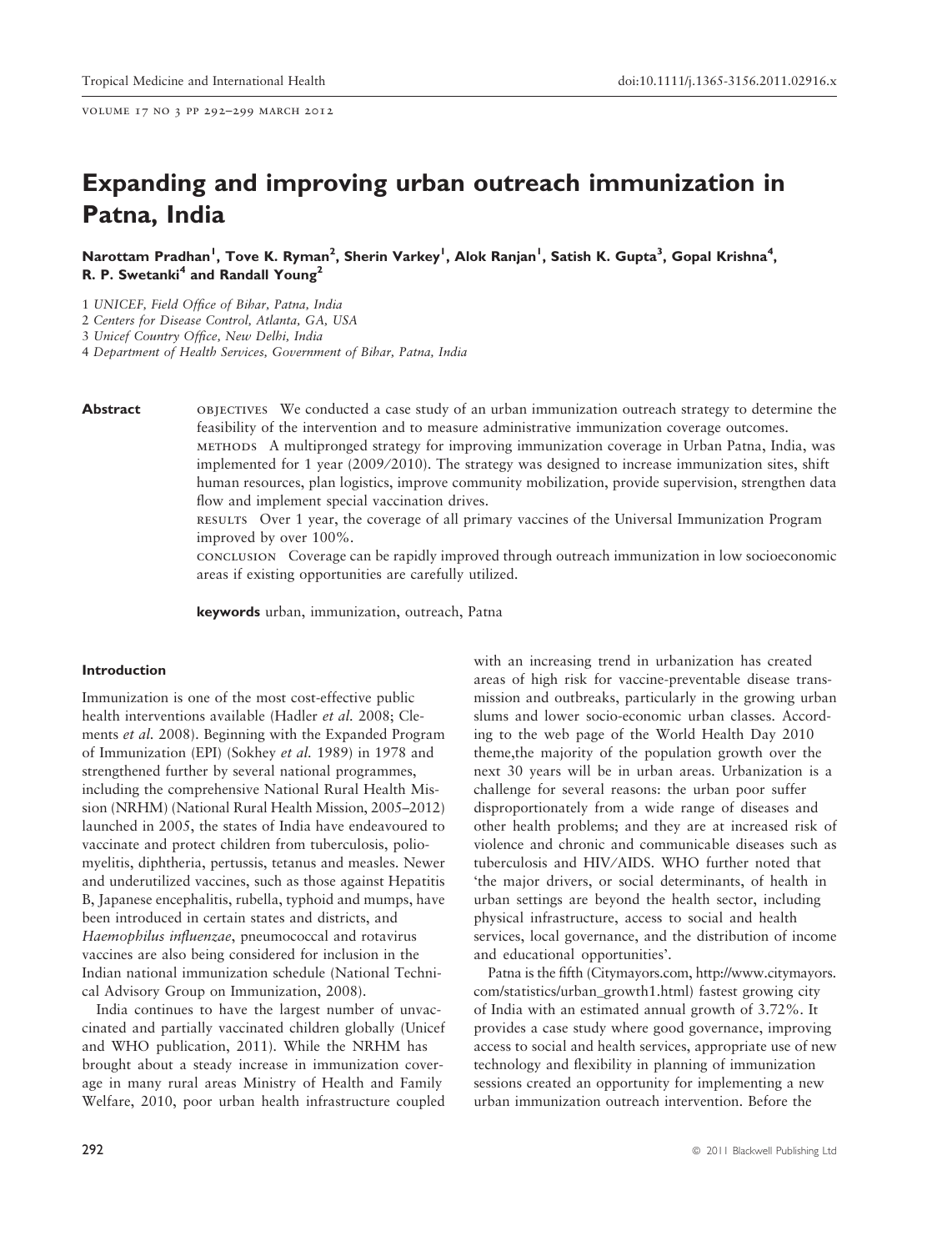# Expanding and improving urban outreach immunization in Patna, India

Narottam Pradhan<sup>1</sup>, Tove K. Ryman<sup>2</sup>, Sherin Varkey<sup>1</sup>, Alok Ranjan<sup>1</sup>, Satish K. Gupta<sup>3</sup>, Gopal Krishna<sup>4</sup>, R. P. Swetanki<sup>4</sup> and Randall Young<sup>2</sup>

1 UNICEF, Field Office of Bihar, Patna, India

2 Centers for Disease Control, Atlanta, GA, USA

3 Unicef Country Office, New Delhi, India

4 Department of Health Services, Government of Bihar, Patna, India

**Abstract** objectives We conducted a case study of an urban immunization outreach strategy to determine the feasibility of the intervention and to measure administrative immunization coverage outcomes. methods A multipronged strategy for improving immunization coverage in Urban Patna, India, was implemented for 1 year (2009/2010). The strategy was designed to increase immunization sites, shift human resources, plan logistics, improve community mobilization, provide supervision, strengthen data flow and implement special vaccination drives.

> results Over 1 year, the coverage of all primary vaccines of the Universal Immunization Program improved by over 100%.

conclusion Coverage can be rapidly improved through outreach immunization in low socioeconomic areas if existing opportunities are carefully utilized.

keywords urban, immunization, outreach, Patna

#### Introduction

Immunization is one of the most cost-effective public health interventions available (Hadler et al. 2008; Clements et al. 2008). Beginning with the Expanded Program of Immunization (EPI) (Sokhey et al. 1989) in 1978 and strengthened further by several national programmes, including the comprehensive National Rural Health Mission (NRHM) (National Rural Health Mission, 2005–2012) launched in 2005, the states of India have endeavoured to vaccinate and protect children from tuberculosis, poliomyelitis, diphtheria, pertussis, tetanus and measles. Newer and underutilized vaccines, such as those against Hepatitis B, Japanese encephalitis, rubella, typhoid and mumps, have been introduced in certain states and districts, and Haemophilus influenzae, pneumococcal and rotavirus vaccines are also being considered for inclusion in the Indian national immunization schedule (National Technical Advisory Group on Immunization, 2008).

India continues to have the largest number of unvaccinated and partially vaccinated children globally (Unicef and WHO publication, 2011). While the NRHM has brought about a steady increase in immunization coverage in many rural areas Ministry of Health and Family Welfare, 2010, poor urban health infrastructure coupled with an increasing trend in urbanization has created areas of high risk for vaccine-preventable disease transmission and outbreaks, particularly in the growing urban slums and lower socio-economic urban classes. According to the web page of the World Health Day 2010 theme,the majority of the population growth over the next 30 years will be in urban areas. Urbanization is a challenge for several reasons: the urban poor suffer disproportionately from a wide range of diseases and other health problems; and they are at increased risk of violence and chronic and communicable diseases such as tuberculosis and HIV/AIDS. WHO further noted that 'the major drivers, or social determinants, of health in urban settings are beyond the health sector, including physical infrastructure, access to social and health services, local governance, and the distribution of income and educational opportunities'.

Patna is the fifth (Citymayors.com, http://www.citymayors. com/statistics/urban\_growth1.html) fastest growing city of India with an estimated annual growth of 3.72%. It provides a case study where good governance, improving access to social and health services, appropriate use of new technology and flexibility in planning of immunization sessions created an opportunity for implementing a new urban immunization outreach intervention. Before the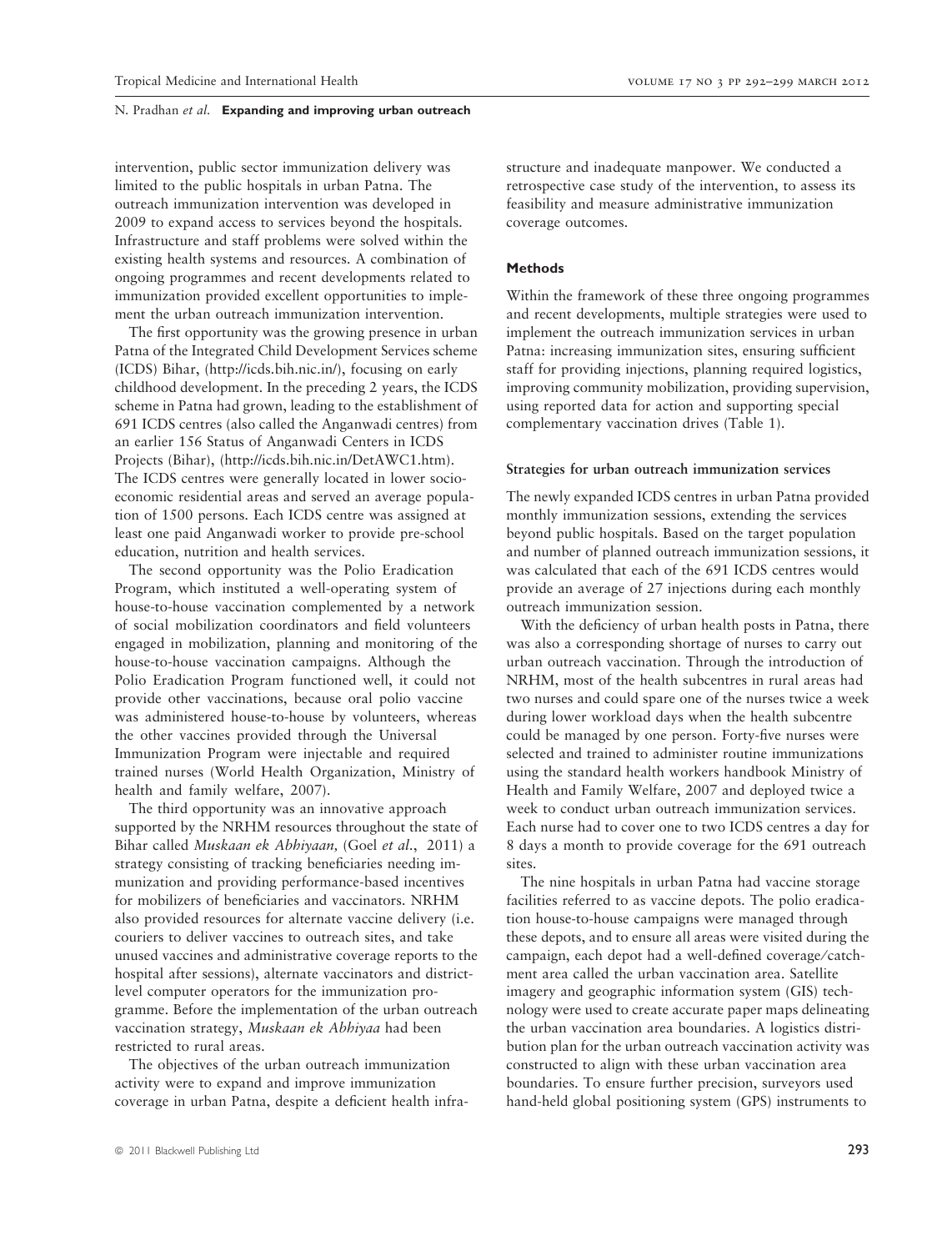intervention, public sector immunization delivery was limited to the public hospitals in urban Patna. The outreach immunization intervention was developed in 2009 to expand access to services beyond the hospitals. Infrastructure and staff problems were solved within the existing health systems and resources. A combination of ongoing programmes and recent developments related to immunization provided excellent opportunities to implement the urban outreach immunization intervention.

The first opportunity was the growing presence in urban Patna of the Integrated Child Development Services scheme (ICDS) Bihar, (http://icds.bih.nic.in/), focusing on early childhood development. In the preceding 2 years, the ICDS scheme in Patna had grown, leading to the establishment of 691 ICDS centres (also called the Anganwadi centres) from an earlier 156 Status of Anganwadi Centers in ICDS Projects (Bihar), (http://icds.bih.nic.in/DetAWC1.htm). The ICDS centres were generally located in lower socioeconomic residential areas and served an average population of 1500 persons. Each ICDS centre was assigned at least one paid Anganwadi worker to provide pre-school education, nutrition and health services.

The second opportunity was the Polio Eradication Program, which instituted a well-operating system of house-to-house vaccination complemented by a network of social mobilization coordinators and field volunteers engaged in mobilization, planning and monitoring of the house-to-house vaccination campaigns. Although the Polio Eradication Program functioned well, it could not provide other vaccinations, because oral polio vaccine was administered house-to-house by volunteers, whereas the other vaccines provided through the Universal Immunization Program were injectable and required trained nurses (World Health Organization, Ministry of health and family welfare, 2007).

The third opportunity was an innovative approach supported by the NRHM resources throughout the state of Bihar called Muskaan ek Abhiyaan, (Goel et al., 2011) a strategy consisting of tracking beneficiaries needing immunization and providing performance-based incentives for mobilizers of beneficiaries and vaccinators. NRHM also provided resources for alternate vaccine delivery (i.e. couriers to deliver vaccines to outreach sites, and take unused vaccines and administrative coverage reports to the hospital after sessions), alternate vaccinators and districtlevel computer operators for the immunization programme. Before the implementation of the urban outreach vaccination strategy, Muskaan ek Abhiyaa had been restricted to rural areas.

The objectives of the urban outreach immunization activity were to expand and improve immunization coverage in urban Patna, despite a deficient health infra-

structure and inadequate manpower. We conducted a retrospective case study of the intervention, to assess its feasibility and measure administrative immunization coverage outcomes.

# Methods

Within the framework of these three ongoing programmes and recent developments, multiple strategies were used to implement the outreach immunization services in urban Patna: increasing immunization sites, ensuring sufficient staff for providing injections, planning required logistics, improving community mobilization, providing supervision, using reported data for action and supporting special complementary vaccination drives (Table 1).

#### Strategies for urban outreach immunization services

The newly expanded ICDS centres in urban Patna provided monthly immunization sessions, extending the services beyond public hospitals. Based on the target population and number of planned outreach immunization sessions, it was calculated that each of the 691 ICDS centres would provide an average of 27 injections during each monthly outreach immunization session.

With the deficiency of urban health posts in Patna, there was also a corresponding shortage of nurses to carry out urban outreach vaccination. Through the introduction of NRHM, most of the health subcentres in rural areas had two nurses and could spare one of the nurses twice a week during lower workload days when the health subcentre could be managed by one person. Forty-five nurses were selected and trained to administer routine immunizations using the standard health workers handbook Ministry of Health and Family Welfare, 2007 and deployed twice a week to conduct urban outreach immunization services. Each nurse had to cover one to two ICDS centres a day for 8 days a month to provide coverage for the 691 outreach sites.

The nine hospitals in urban Patna had vaccine storage facilities referred to as vaccine depots. The polio eradication house-to-house campaigns were managed through these depots, and to ensure all areas were visited during the campaign, each depot had a well-defined coverage/catchment area called the urban vaccination area. Satellite imagery and geographic information system (GIS) technology were used to create accurate paper maps delineating the urban vaccination area boundaries. A logistics distribution plan for the urban outreach vaccination activity was constructed to align with these urban vaccination area boundaries. To ensure further precision, surveyors used hand-held global positioning system (GPS) instruments to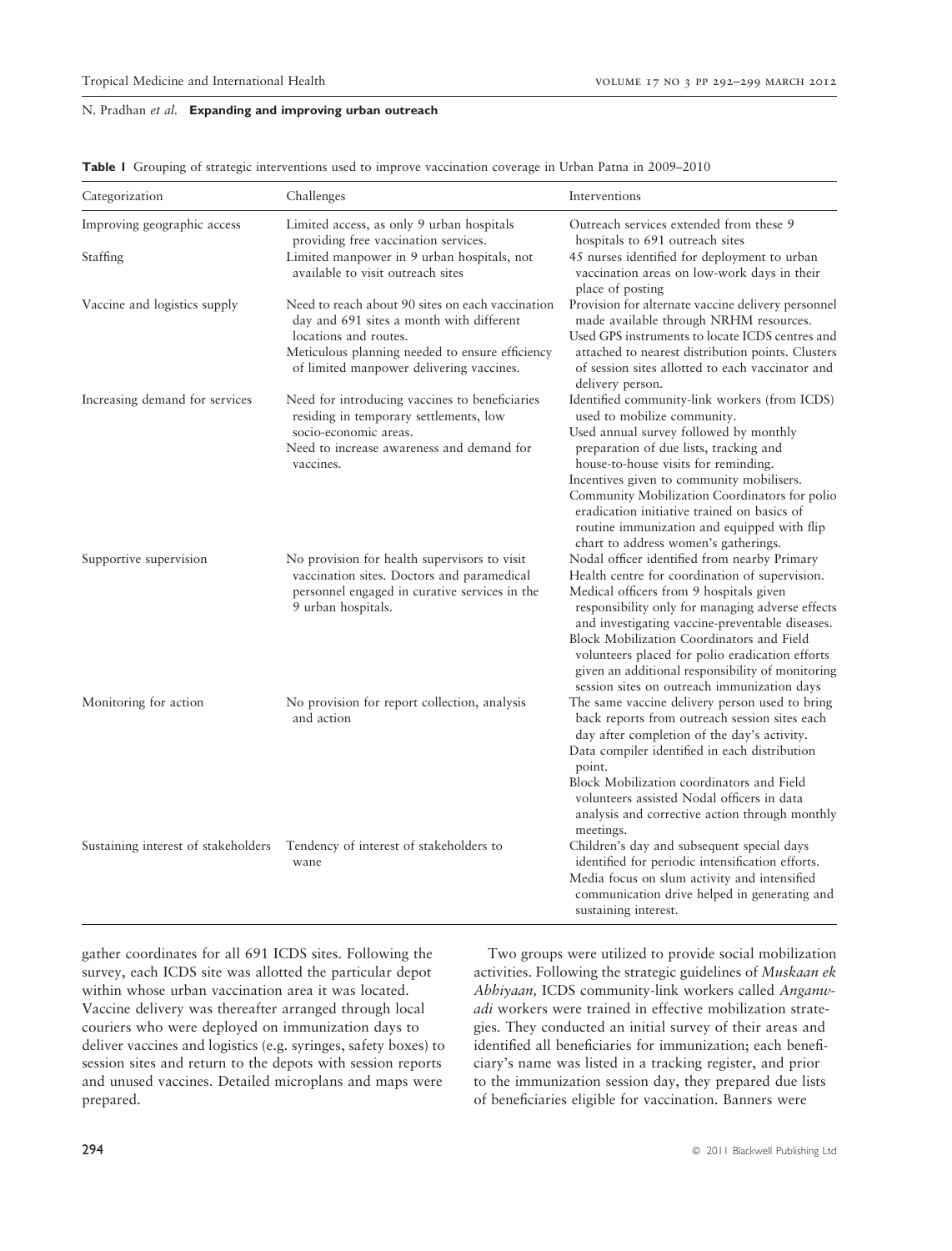| Categorization                      | Challenges                                                                                                                                                                                                           | Interventions                                                                                                                                                                                                                                                                                                                                                                                                                                       |
|-------------------------------------|----------------------------------------------------------------------------------------------------------------------------------------------------------------------------------------------------------------------|-----------------------------------------------------------------------------------------------------------------------------------------------------------------------------------------------------------------------------------------------------------------------------------------------------------------------------------------------------------------------------------------------------------------------------------------------------|
| Improving geographic access         | Limited access, as only 9 urban hospitals<br>providing free vaccination services.                                                                                                                                    | Outreach services extended from these 9<br>hospitals to 691 outreach sites                                                                                                                                                                                                                                                                                                                                                                          |
| Staffing                            | Limited manpower in 9 urban hospitals, not<br>available to visit outreach sites                                                                                                                                      | 45 nurses identified for deployment to urban<br>vaccination areas on low-work days in their<br>place of posting                                                                                                                                                                                                                                                                                                                                     |
| Vaccine and logistics supply        | Need to reach about 90 sites on each vaccination<br>day and 691 sites a month with different<br>locations and routes.<br>Meticulous planning needed to ensure efficiency<br>of limited manpower delivering vaccines. | Provision for alternate vaccine delivery personnel<br>made available through NRHM resources.<br>Used GPS instruments to locate ICDS centres and<br>attached to nearest distribution points. Clusters<br>of session sites allotted to each vaccinator and<br>delivery person.                                                                                                                                                                        |
| Increasing demand for services      | Need for introducing vaccines to beneficiaries<br>residing in temporary settlements, low<br>socio-economic areas.<br>Need to increase awareness and demand for<br>vaccines.                                          | Identified community-link workers (from ICDS)<br>used to mobilize community.<br>Used annual survey followed by monthly<br>preparation of due lists, tracking and<br>house-to-house visits for reminding.<br>Incentives given to community mobilisers.<br>Community Mobilization Coordinators for polio<br>eradication initiative trained on basics of<br>routine immunization and equipped with flip<br>chart to address women's gatherings.        |
| Supportive supervision              | No provision for health supervisors to visit<br>vaccination sites. Doctors and paramedical<br>personnel engaged in curative services in the<br>9 urban hospitals.                                                    | Nodal officer identified from nearby Primary<br>Health centre for coordination of supervision.<br>Medical officers from 9 hospitals given<br>responsibility only for managing adverse effects<br>and investigating vaccine-preventable diseases.<br>Block Mobilization Coordinators and Field<br>volunteers placed for polio eradication efforts<br>given an additional responsibility of monitoring<br>session sites on outreach immunization days |
| Monitoring for action               | No provision for report collection, analysis<br>and action                                                                                                                                                           | The same vaccine delivery person used to bring<br>back reports from outreach session sites each<br>day after completion of the day's activity.<br>Data compiler identified in each distribution<br>point.<br>Block Mobilization coordinators and Field<br>volunteers assisted Nodal officers in data<br>analysis and corrective action through monthly<br>meetings.                                                                                 |
| Sustaining interest of stakeholders | Tendency of interest of stakeholders to<br>wane                                                                                                                                                                      | Children's day and subsequent special days<br>identified for periodic intensification efforts.<br>Media focus on slum activity and intensified<br>communication drive helped in generating and<br>sustaining interest.                                                                                                                                                                                                                              |

Table 1 Grouping of strategic interventions used to improve vaccination coverage in Urban Patna in 2009–2010

gather coordinates for all 691 ICDS sites. Following the survey, each ICDS site was allotted the particular depot within whose urban vaccination area it was located. Vaccine delivery was thereafter arranged through local couriers who were deployed on immunization days to deliver vaccines and logistics (e.g. syringes, safety boxes) to session sites and return to the depots with session reports and unused vaccines. Detailed microplans and maps were prepared.

Two groups were utilized to provide social mobilization activities. Following the strategic guidelines of Muskaan ek Abhiyaan, ICDS community-link workers called Anganwadi workers were trained in effective mobilization strategies. They conducted an initial survey of their areas and identified all beneficiaries for immunization; each beneficiary's name was listed in a tracking register, and prior to the immunization session day, they prepared due lists of beneficiaries eligible for vaccination. Banners were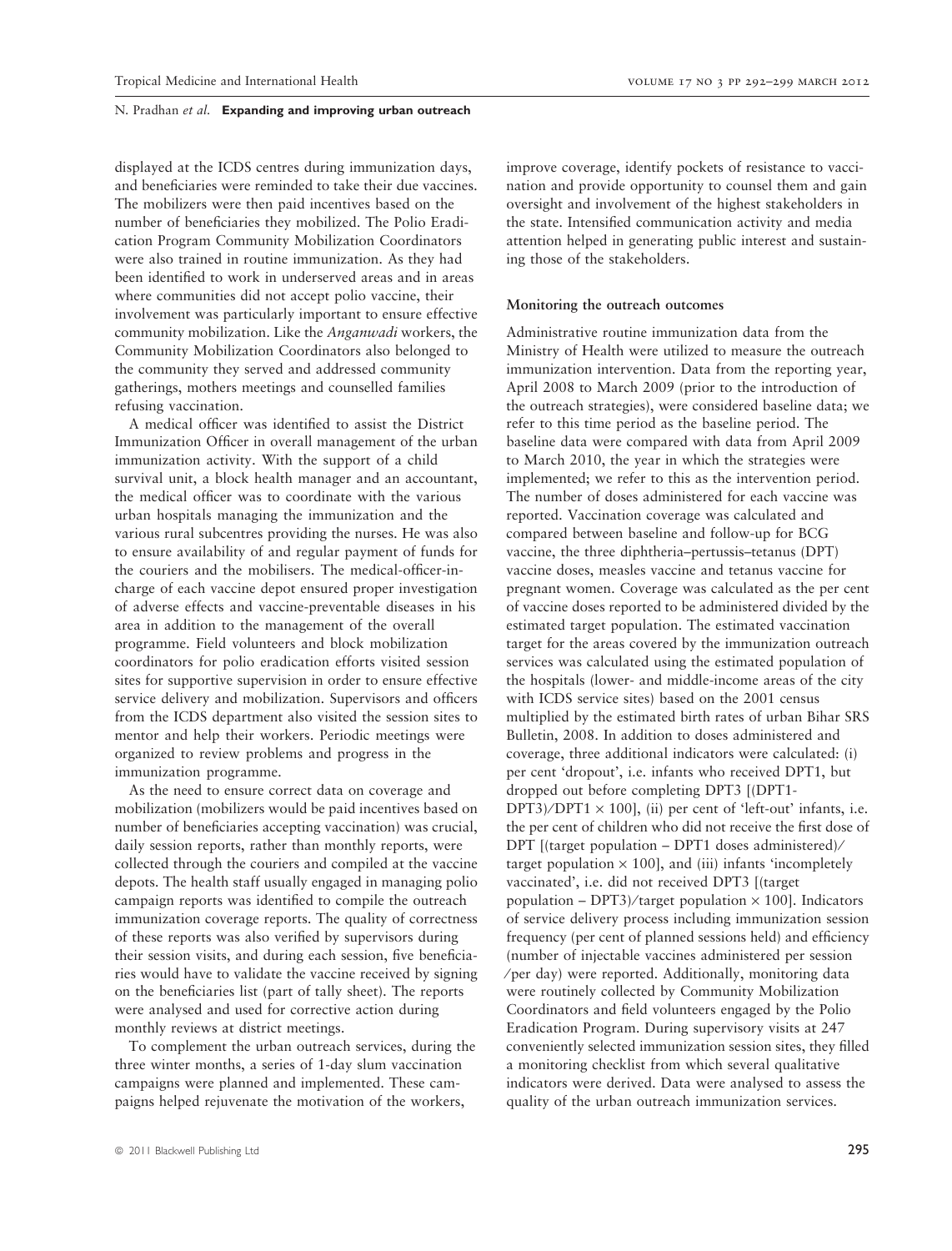displayed at the ICDS centres during immunization days, and beneficiaries were reminded to take their due vaccines. The mobilizers were then paid incentives based on the number of beneficiaries they mobilized. The Polio Eradication Program Community Mobilization Coordinators were also trained in routine immunization. As they had been identified to work in underserved areas and in areas where communities did not accept polio vaccine, their involvement was particularly important to ensure effective community mobilization. Like the Anganwadi workers, the Community Mobilization Coordinators also belonged to the community they served and addressed community gatherings, mothers meetings and counselled families refusing vaccination.

A medical officer was identified to assist the District Immunization Officer in overall management of the urban immunization activity. With the support of a child survival unit, a block health manager and an accountant, the medical officer was to coordinate with the various urban hospitals managing the immunization and the various rural subcentres providing the nurses. He was also to ensure availability of and regular payment of funds for the couriers and the mobilisers. The medical-officer-incharge of each vaccine depot ensured proper investigation of adverse effects and vaccine-preventable diseases in his area in addition to the management of the overall programme. Field volunteers and block mobilization coordinators for polio eradication efforts visited session sites for supportive supervision in order to ensure effective service delivery and mobilization. Supervisors and officers from the ICDS department also visited the session sites to mentor and help their workers. Periodic meetings were organized to review problems and progress in the immunization programme.

As the need to ensure correct data on coverage and mobilization (mobilizers would be paid incentives based on number of beneficiaries accepting vaccination) was crucial, daily session reports, rather than monthly reports, were collected through the couriers and compiled at the vaccine depots. The health staff usually engaged in managing polio campaign reports was identified to compile the outreach immunization coverage reports. The quality of correctness of these reports was also verified by supervisors during their session visits, and during each session, five beneficiaries would have to validate the vaccine received by signing on the beneficiaries list (part of tally sheet). The reports were analysed and used for corrective action during monthly reviews at district meetings.

To complement the urban outreach services, during the three winter months, a series of 1-day slum vaccination campaigns were planned and implemented. These campaigns helped rejuvenate the motivation of the workers,

improve coverage, identify pockets of resistance to vaccination and provide opportunity to counsel them and gain oversight and involvement of the highest stakeholders in the state. Intensified communication activity and media attention helped in generating public interest and sustaining those of the stakeholders.

# Monitoring the outreach outcomes

Administrative routine immunization data from the Ministry of Health were utilized to measure the outreach immunization intervention. Data from the reporting year, April 2008 to March 2009 (prior to the introduction of the outreach strategies), were considered baseline data; we refer to this time period as the baseline period. The baseline data were compared with data from April 2009 to March 2010, the year in which the strategies were implemented; we refer to this as the intervention period. The number of doses administered for each vaccine was reported. Vaccination coverage was calculated and compared between baseline and follow-up for BCG vaccine, the three diphtheria–pertussis–tetanus (DPT) vaccine doses, measles vaccine and tetanus vaccine for pregnant women. Coverage was calculated as the per cent of vaccine doses reported to be administered divided by the estimated target population. The estimated vaccination target for the areas covered by the immunization outreach services was calculated using the estimated population of the hospitals (lower- and middle-income areas of the city with ICDS service sites) based on the 2001 census multiplied by the estimated birth rates of urban Bihar SRS Bulletin, 2008. In addition to doses administered and coverage, three additional indicators were calculated: (i) per cent 'dropout', i.e. infants who received DPT1, but dropped out before completing DPT3 [(DPT1- DPT3)/DPT1  $\times$  100], (ii) per cent of 'left-out' infants, i.e. the per cent of children who did not receive the first dose of DPT [(target population – DPT1 doses administered)⁄ target population  $\times$  100], and (iii) infants 'incompletely vaccinated', i.e. did not received DPT3 [(target population – DPT3)/target population  $\times$  100]. Indicators of service delivery process including immunization session frequency (per cent of planned sessions held) and efficiency (number of injectable vaccines administered per session ⁄ per day) were reported. Additionally, monitoring data were routinely collected by Community Mobilization Coordinators and field volunteers engaged by the Polio Eradication Program. During supervisory visits at 247 conveniently selected immunization session sites, they filled a monitoring checklist from which several qualitative indicators were derived. Data were analysed to assess the quality of the urban outreach immunization services.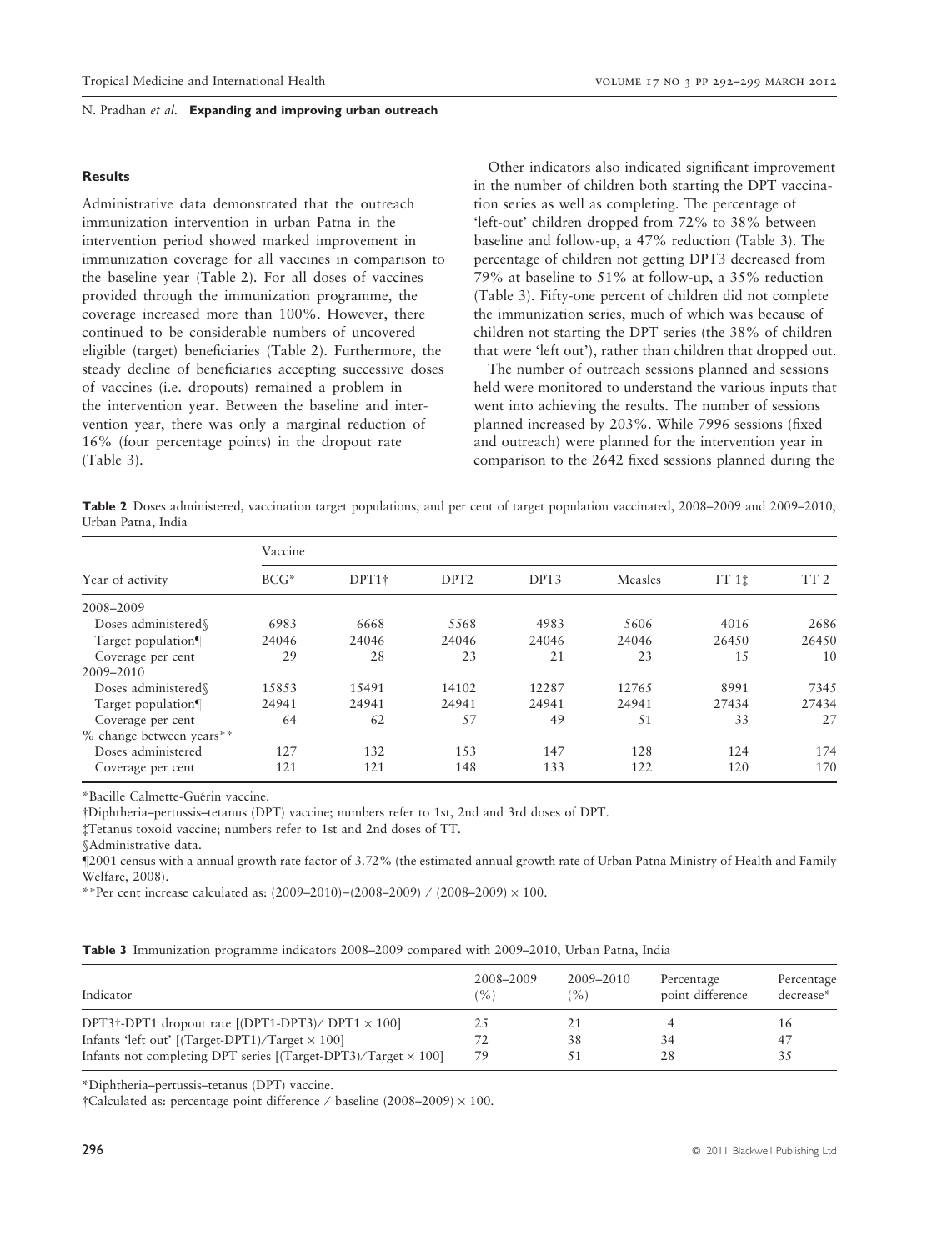# Results

Administrative data demonstrated that the outreach immunization intervention in urban Patna in the intervention period showed marked improvement in immunization coverage for all vaccines in comparison to the baseline year (Table 2). For all doses of vaccines provided through the immunization programme, the coverage increased more than 100%. However, there continued to be considerable numbers of uncovered eligible (target) beneficiaries (Table 2). Furthermore, the steady decline of beneficiaries accepting successive doses of vaccines (i.e. dropouts) remained a problem in the intervention year. Between the baseline and intervention year, there was only a marginal reduction of 16% (four percentage points) in the dropout rate (Table 3).

Other indicators also indicated significant improvement in the number of children both starting the DPT vaccination series as well as completing. The percentage of 'left-out' children dropped from 72% to 38% between baseline and follow-up, a 47% reduction (Table 3). The percentage of children not getting DPT3 decreased from 79% at baseline to 51% at follow-up, a 35% reduction (Table 3). Fifty-one percent of children did not complete the immunization series, much of which was because of children not starting the DPT series (the 38% of children that were 'left out'), rather than children that dropped out.

The number of outreach sessions planned and sessions held were monitored to understand the various inputs that went into achieving the results. The number of sessions planned increased by 203%. While 7996 sessions (fixed and outreach) were planned for the intervention year in comparison to the 2642 fixed sessions planned during the

Table 2 Doses administered, vaccination target populations, and per cent of target population vaccinated, 2008–2009 and 2009–2010, Urban Patna, India

|                          | Vaccine |               |                  |       |         |       |                 |
|--------------------------|---------|---------------|------------------|-------|---------|-------|-----------------|
| Year of activity         | $BCG^*$ | $DPT1\dagger$ | DPT <sub>2</sub> | DPT3  | Measles | TT 1t | TT <sub>2</sub> |
| 2008-2009                |         |               |                  |       |         |       |                 |
| Doses administered       | 6983    | 6668          | 5568             | 4983  | 5606    | 4016  | 2686            |
| Target population¶       | 24046   | 24046         | 24046            | 24046 | 24046   | 26450 | 26450           |
| Coverage per cent        | 29      | 28            | 23               | 21    | 23      | 1.5   | 10              |
| 2009-2010                |         |               |                  |       |         |       |                 |
| Doses administered       | 15853   | 15491         | 14102            | 12287 | 12765   | 8991  | 7345            |
| Target population¶       | 24941   | 24941         | 24941            | 24941 | 24941   | 27434 | 27434           |
| Coverage per cent        | 64      | 62            | 57               | 49    | 51      | 33    | 27              |
| % change between years** |         |               |                  |       |         |       |                 |
| Doses administered       | 127     | 132           | 153              | 147   | 128     | 124   | 174             |
| Coverage per cent        | 121     | 121           | 148              | 133   | 122     | 120   | 170             |

\*Bacille Calmette-Guérin vaccine.

-Diphtheria–pertussis–tetanus (DPT) vaccine; numbers refer to 1st, 2nd and 3rd doses of DPT.

Tetanus toxoid vaccine; numbers refer to 1st and 2nd doses of TT.

§Administrative data.

–2001 census with a annual growth rate factor of 3.72% (the estimated annual growth rate of Urban Patna Ministry of Health and Family Welfare, 2008).

\*\*Per cent increase calculated as:  $(2009-2010)-(2008-2009)$  /  $(2008-2009) \times 100$ .

|  |  |  |  | Table 3 Immunization programme indicators 2008-2009 compared with 2009-2010, Urban Patna, India |
|--|--|--|--|-------------------------------------------------------------------------------------------------|
|--|--|--|--|-------------------------------------------------------------------------------------------------|

| Indicator                                                             | 2008-2009<br>$\frac{9}{6}$ | 2009–2010<br>$\frac{9}{0}$ | Percentage<br>point difference | Percentage<br>decrease* |
|-----------------------------------------------------------------------|----------------------------|----------------------------|--------------------------------|-------------------------|
| DPT3†-DPT1 dropout rate $[(DPT1-DPT3)/DPT1 \times 100]$               | 25                         |                            |                                | 16                      |
| Infants 'left out' [(Target-DPT1)/Target $\times$ 100]                |                            | 38                         | 34                             | 47                      |
| Infants not completing DPT series $[(Target-DPT3)/Target \times 100]$ | 79                         |                            | 28                             | 35                      |
|                                                                       |                            |                            |                                |                         |

\*Diphtheria–pertussis–tetanus (DPT) vaccine.

-Calculated as: percentage point difference ⁄ baseline (2008–2009) · 100.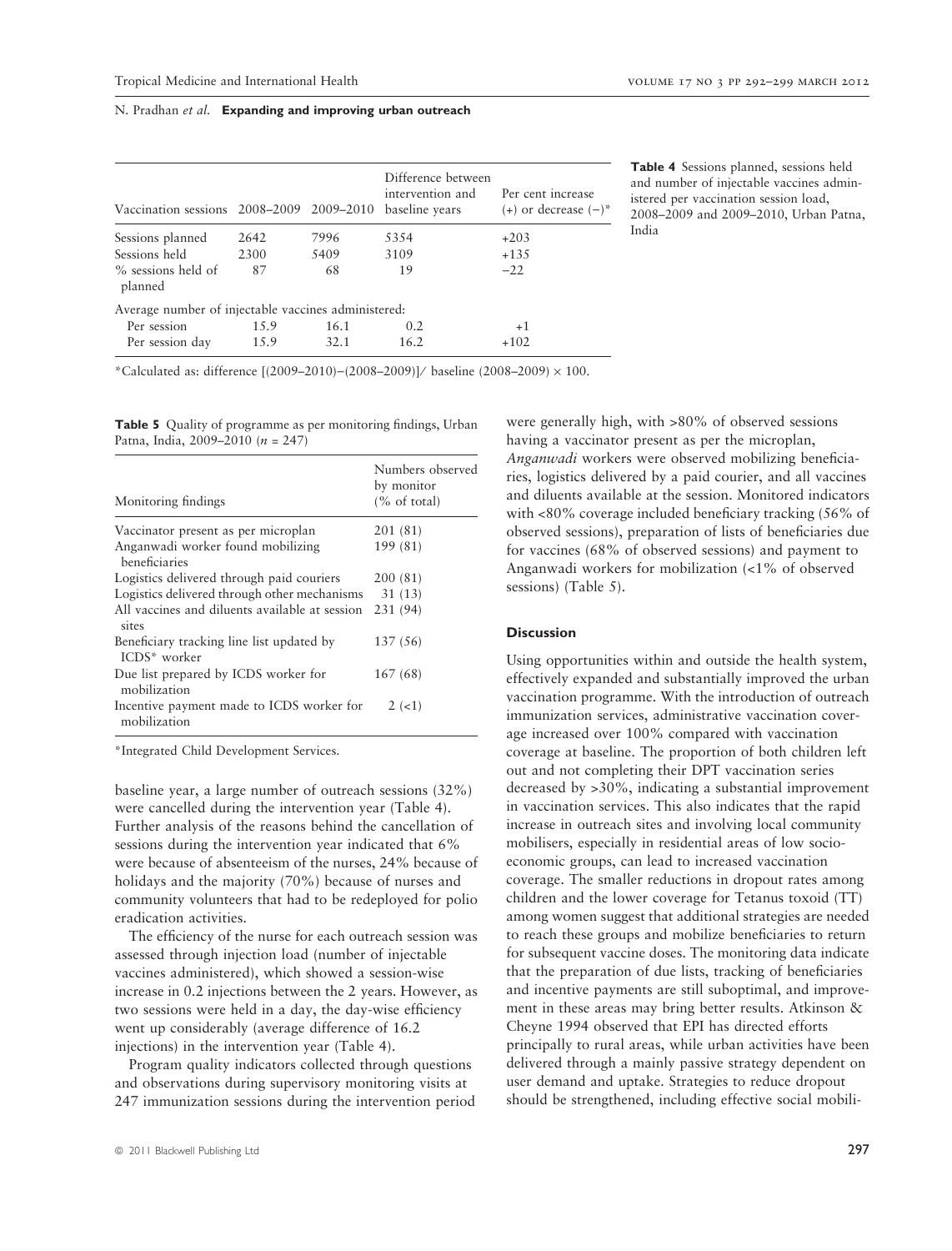| Vaccination sessions 2008-2009 2009-2010            |      |      | Difference between<br>intervention and<br>baseline years | Per cent increase<br>$(+)$ or decrease $(-)^*$ |
|-----------------------------------------------------|------|------|----------------------------------------------------------|------------------------------------------------|
| Sessions planned                                    | 2642 | 7996 | 5354                                                     | $+203$                                         |
| Sessions held                                       | 2300 | 5409 | 3109                                                     | $+135$                                         |
| % sessions held of<br>planned                       | 87   | 68   | 19                                                       | $-22$                                          |
| Average number of injectable vaccines administered: |      |      |                                                          |                                                |
| Per session                                         | 15.9 | 16.1 | 0.2                                                      | $+1$                                           |
| Per session day                                     | 15.9 | 32.1 | 16.2                                                     | $+102$                                         |

Table 4 Sessions planned, sessions held and number of injectable vaccines administered per vaccination session load, 2008–2009 and 2009–2010, Urban Patna, India

\*Calculated as: difference  $[(2009-2010)-(2008-2009)]$ / baseline (2008–2009)  $\times$  100.

Table 5 Quality of programme as per monitoring findings, Urban Patna, India, 2009–2010 ( $n = 247$ )

| Monitoring findings                                                   | Numbers observed<br>by monitor<br>$(\%$ of total) |
|-----------------------------------------------------------------------|---------------------------------------------------|
| Vaccinator present as per microplan                                   | 201 (81)                                          |
| Anganwadi worker found mobilizing<br>beneficiaries                    | 199 (81)                                          |
| Logistics delivered through paid couriers                             | 200 (81)                                          |
| Logistics delivered through other mechanisms                          | 31 (13)                                           |
| All vaccines and diluents available at session<br>sites               | 231 (94)                                          |
| Beneficiary tracking line list updated by<br>ICDS <sup>*</sup> worker | 137 (56)                                          |
| Due list prepared by ICDS worker for<br>mobilization                  | 167(68)                                           |
| Incentive payment made to ICDS worker for<br>mobilization             | $2(-1)$                                           |

\*Integrated Child Development Services.

baseline year, a large number of outreach sessions (32%) were cancelled during the intervention year (Table 4). Further analysis of the reasons behind the cancellation of sessions during the intervention year indicated that 6% were because of absenteeism of the nurses, 24% because of holidays and the majority (70%) because of nurses and community volunteers that had to be redeployed for polio eradication activities.

The efficiency of the nurse for each outreach session was assessed through injection load (number of injectable vaccines administered), which showed a session-wise increase in 0.2 injections between the 2 years. However, as two sessions were held in a day, the day-wise efficiency went up considerably (average difference of 16.2 injections) in the intervention year (Table 4).

Program quality indicators collected through questions and observations during supervisory monitoring visits at 247 immunization sessions during the intervention period

were generally high, with >80% of observed sessions having a vaccinator present as per the microplan, Anganwadi workers were observed mobilizing beneficiaries, logistics delivered by a paid courier, and all vaccines and diluents available at the session. Monitored indicators with <80% coverage included beneficiary tracking (56% of observed sessions), preparation of lists of beneficiaries due for vaccines (68% of observed sessions) and payment to Anganwadi workers for mobilization (<1% of observed sessions) (Table 5).

## **Discussion**

Using opportunities within and outside the health system, effectively expanded and substantially improved the urban vaccination programme. With the introduction of outreach immunization services, administrative vaccination coverage increased over 100% compared with vaccination coverage at baseline. The proportion of both children left out and not completing their DPT vaccination series decreased by >30%, indicating a substantial improvement in vaccination services. This also indicates that the rapid increase in outreach sites and involving local community mobilisers, especially in residential areas of low socioeconomic groups, can lead to increased vaccination coverage. The smaller reductions in dropout rates among children and the lower coverage for Tetanus toxoid (TT) among women suggest that additional strategies are needed to reach these groups and mobilize beneficiaries to return for subsequent vaccine doses. The monitoring data indicate that the preparation of due lists, tracking of beneficiaries and incentive payments are still suboptimal, and improvement in these areas may bring better results. Atkinson & Cheyne 1994 observed that EPI has directed efforts principally to rural areas, while urban activities have been delivered through a mainly passive strategy dependent on user demand and uptake. Strategies to reduce dropout should be strengthened, including effective social mobili-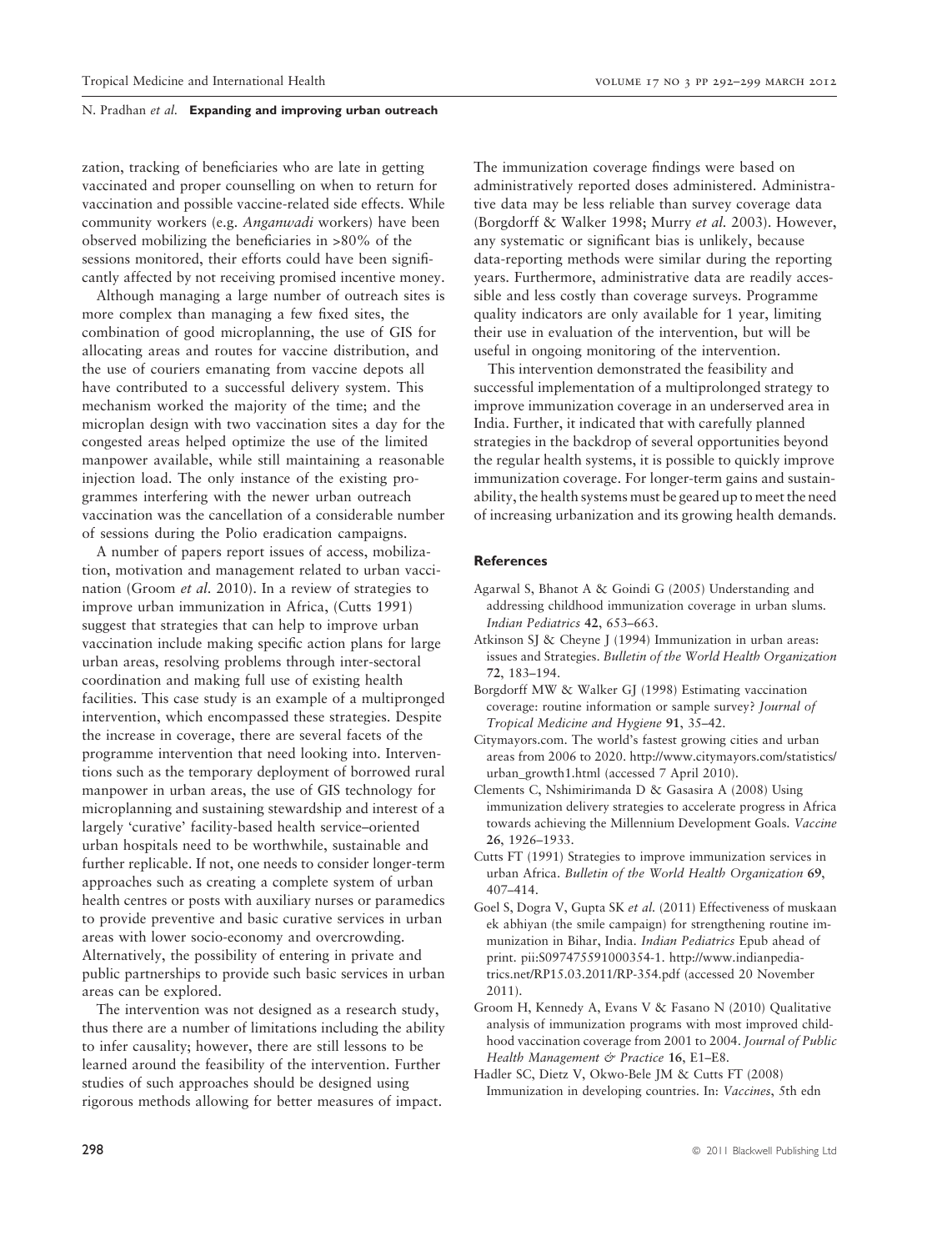zation, tracking of beneficiaries who are late in getting vaccinated and proper counselling on when to return for vaccination and possible vaccine-related side effects. While community workers (e.g. Anganwadi workers) have been observed mobilizing the beneficiaries in >80% of the sessions monitored, their efforts could have been significantly affected by not receiving promised incentive money.

Although managing a large number of outreach sites is more complex than managing a few fixed sites, the combination of good microplanning, the use of GIS for allocating areas and routes for vaccine distribution, and the use of couriers emanating from vaccine depots all have contributed to a successful delivery system. This mechanism worked the majority of the time; and the microplan design with two vaccination sites a day for the congested areas helped optimize the use of the limited manpower available, while still maintaining a reasonable injection load. The only instance of the existing programmes interfering with the newer urban outreach vaccination was the cancellation of a considerable number of sessions during the Polio eradication campaigns.

A number of papers report issues of access, mobilization, motivation and management related to urban vaccination (Groom et al. 2010). In a review of strategies to improve urban immunization in Africa, (Cutts 1991) suggest that strategies that can help to improve urban vaccination include making specific action plans for large urban areas, resolving problems through inter-sectoral coordination and making full use of existing health facilities. This case study is an example of a multipronged intervention, which encompassed these strategies. Despite the increase in coverage, there are several facets of the programme intervention that need looking into. Interventions such as the temporary deployment of borrowed rural manpower in urban areas, the use of GIS technology for microplanning and sustaining stewardship and interest of a largely 'curative' facility-based health service–oriented urban hospitals need to be worthwhile, sustainable and further replicable. If not, one needs to consider longer-term approaches such as creating a complete system of urban health centres or posts with auxiliary nurses or paramedics to provide preventive and basic curative services in urban areas with lower socio-economy and overcrowding. Alternatively, the possibility of entering in private and public partnerships to provide such basic services in urban areas can be explored.

The intervention was not designed as a research study, thus there are a number of limitations including the ability to infer causality; however, there are still lessons to be learned around the feasibility of the intervention. Further studies of such approaches should be designed using rigorous methods allowing for better measures of impact.

The immunization coverage findings were based on administratively reported doses administered. Administrative data may be less reliable than survey coverage data (Borgdorff & Walker 1998; Murry et al. 2003). However, any systematic or significant bias is unlikely, because data-reporting methods were similar during the reporting years. Furthermore, administrative data are readily accessible and less costly than coverage surveys. Programme quality indicators are only available for 1 year, limiting their use in evaluation of the intervention, but will be useful in ongoing monitoring of the intervention.

This intervention demonstrated the feasibility and successful implementation of a multiprolonged strategy to improve immunization coverage in an underserved area in India. Further, it indicated that with carefully planned strategies in the backdrop of several opportunities beyond the regular health systems, it is possible to quickly improve immunization coverage. For longer-term gains and sustainability, the health systems must be geared up to meet the need of increasing urbanization and its growing health demands.

# **References**

- Agarwal S, Bhanot A & Goindi G (2005) Understanding and addressing childhood immunization coverage in urban slums. Indian Pediatrics 42, 653–663.
- Atkinson SJ & Cheyne J (1994) Immunization in urban areas: issues and Strategies. Bulletin of the World Health Organization 72, 183–194.
- Borgdorff MW & Walker GJ (1998) Estimating vaccination coverage: routine information or sample survey? Journal of Tropical Medicine and Hygiene 91, 35–42.
- Citymayors.com. The world's fastest growing cities and urban areas from 2006 to 2020. http://www.citymayors.com/statistics/ urban\_growth1.html (accessed 7 April 2010).
- Clements C, Nshimirimanda D & Gasasira A (2008) Using immunization delivery strategies to accelerate progress in Africa towards achieving the Millennium Development Goals. Vaccine 26, 1926–1933.
- Cutts FT (1991) Strategies to improve immunization services in urban Africa. Bulletin of the World Health Organization 69, 407–414.
- Goel S, Dogra V, Gupta SK et al. (2011) Effectiveness of muskaan ek abhiyan (the smile campaign) for strengthening routine immunization in Bihar, India. Indian Pediatrics Epub ahead of print. pii:S097475591000354-1. http://www.indianpediatrics.net/RP15.03.2011/RP-354.pdf (accessed 20 November 2011).
- Groom H, Kennedy A, Evans V & Fasano N (2010) Qualitative analysis of immunization programs with most improved childhood vaccination coverage from 2001 to 2004. Journal of Public Health Management & Practice 16, E1-E8.
- Hadler SC, Dietz V, Okwo-Bele JM & Cutts FT (2008) Immunization in developing countries. In: Vaccines, 5th edn